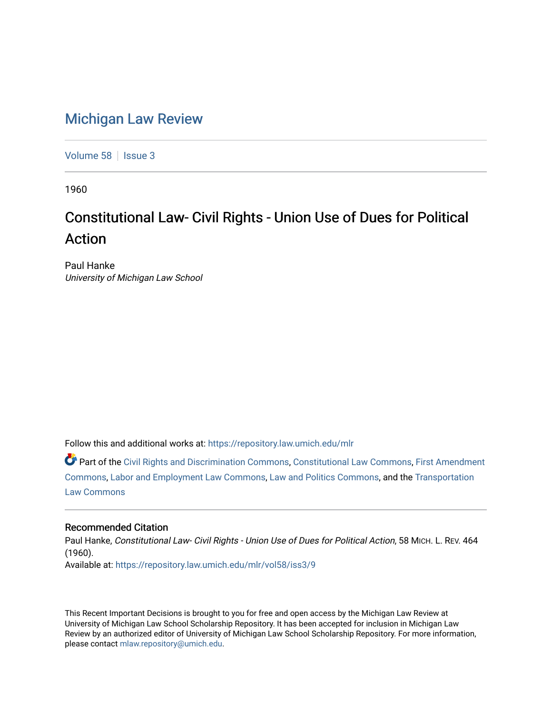## [Michigan Law Review](https://repository.law.umich.edu/mlr)

[Volume 58](https://repository.law.umich.edu/mlr/vol58) | [Issue 3](https://repository.law.umich.edu/mlr/vol58/iss3)

1960

## Constitutional Law- Civil Rights - Union Use of Dues for Political Action

Paul Hanke University of Michigan Law School

Follow this and additional works at: [https://repository.law.umich.edu/mlr](https://repository.law.umich.edu/mlr?utm_source=repository.law.umich.edu%2Fmlr%2Fvol58%2Fiss3%2F9&utm_medium=PDF&utm_campaign=PDFCoverPages) 

Part of the [Civil Rights and Discrimination Commons,](http://network.bepress.com/hgg/discipline/585?utm_source=repository.law.umich.edu%2Fmlr%2Fvol58%2Fiss3%2F9&utm_medium=PDF&utm_campaign=PDFCoverPages) [Constitutional Law Commons,](http://network.bepress.com/hgg/discipline/589?utm_source=repository.law.umich.edu%2Fmlr%2Fvol58%2Fiss3%2F9&utm_medium=PDF&utm_campaign=PDFCoverPages) [First Amendment](http://network.bepress.com/hgg/discipline/1115?utm_source=repository.law.umich.edu%2Fmlr%2Fvol58%2Fiss3%2F9&utm_medium=PDF&utm_campaign=PDFCoverPages) [Commons](http://network.bepress.com/hgg/discipline/1115?utm_source=repository.law.umich.edu%2Fmlr%2Fvol58%2Fiss3%2F9&utm_medium=PDF&utm_campaign=PDFCoverPages), [Labor and Employment Law Commons,](http://network.bepress.com/hgg/discipline/909?utm_source=repository.law.umich.edu%2Fmlr%2Fvol58%2Fiss3%2F9&utm_medium=PDF&utm_campaign=PDFCoverPages) [Law and Politics Commons,](http://network.bepress.com/hgg/discipline/867?utm_source=repository.law.umich.edu%2Fmlr%2Fvol58%2Fiss3%2F9&utm_medium=PDF&utm_campaign=PDFCoverPages) and the [Transportation](http://network.bepress.com/hgg/discipline/885?utm_source=repository.law.umich.edu%2Fmlr%2Fvol58%2Fiss3%2F9&utm_medium=PDF&utm_campaign=PDFCoverPages) [Law Commons](http://network.bepress.com/hgg/discipline/885?utm_source=repository.law.umich.edu%2Fmlr%2Fvol58%2Fiss3%2F9&utm_medium=PDF&utm_campaign=PDFCoverPages) 

## Recommended Citation

Paul Hanke, Constitutional Law- Civil Rights - Union Use of Dues for Political Action, 58 MICH. L. REV. 464 (1960). Available at: [https://repository.law.umich.edu/mlr/vol58/iss3/9](https://repository.law.umich.edu/mlr/vol58/iss3/9?utm_source=repository.law.umich.edu%2Fmlr%2Fvol58%2Fiss3%2F9&utm_medium=PDF&utm_campaign=PDFCoverPages)

This Recent Important Decisions is brought to you for free and open access by the Michigan Law Review at University of Michigan Law School Scholarship Repository. It has been accepted for inclusion in Michigan Law Review by an authorized editor of University of Michigan Law School Scholarship Repository. For more information, please contact [mlaw.repository@umich.edu.](mailto:mlaw.repository@umich.edu)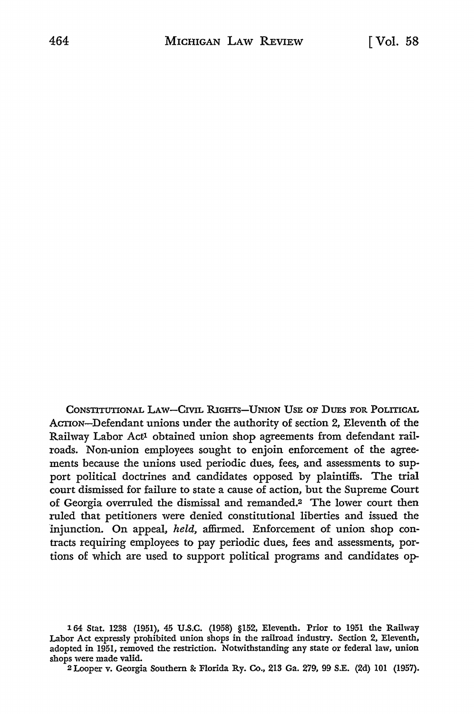CONSTITUTIONAL LAW-CIVIL RIGHTS-UNION USE OF DUES FOR POLITICAL ACTION-Defendant unions under the authority of section 2, Eleventh of the Railway Labor Actl obtained union shop agreements from defendant railroads. Non-union employees sought to enjoin enforcement of the agreements because the unions used periodic dues, fees, and assessments to support political doctrines and candidates opposed by plaintiffs. The trial court dismissed for failure to state a cause of action, but the Supreme Court of Georgia overruled the dismissal and remanded.2 The lower court then ruled that petitioners were denied constitutional liberties and issued the injunction. On appeal, held, affirmed. Enforcement of union shop contracts requiring employees to pay periodic dues, fees and assessments, portions of which are used to support political programs and candidates op-

2 Looper v. Georgia Southern & Florida Ry. Co., 213 Ga. 279, 99 S.E. (2d) 101 (1957).

<sup>164</sup> Stat. 1238 (1951), 45 U.S.C. (1958) §152, Eleventh. Prior to 1951 the Railway Labor Act expressly prohibited union shops in the railroad industry. Section 2, Eleventh, adopted in 1951, removed the restriction. Notwithstanding any state or federal law, union shops were made valid.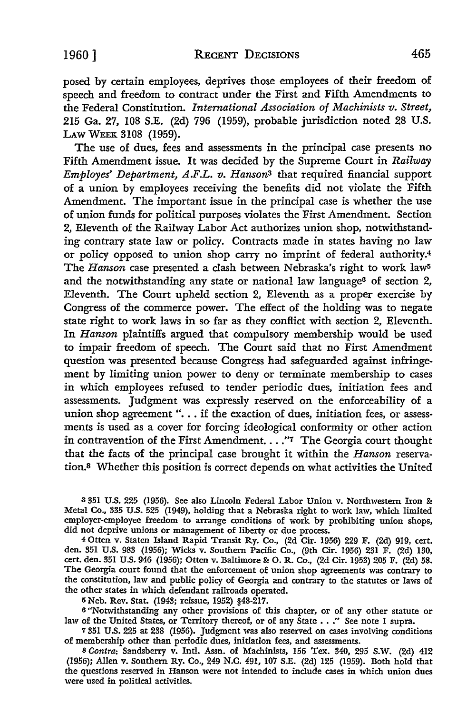posed by certain employees, deprives those employees of their freedom of speech and freedom to contract under the First and Fifth Amendments to the Federal Constitution. *International Association of Machinists v. Street,*  215 Ga. 27, 108 S.E. (2d) 796 (1959), probable jurisdiction noted 28 U.S. LAW WEEK 3108 (1959).

The use of dues, fees and assessments in the principal case presents no Fifth Amendment issue. It was decided by the Supreme Court in *Railway Employes' Department, A.F.L. v. Hansons* that required financial support of a union by employees receiving the benefits did not violate the Fifth Amendment. The important issue in the principal case is whether the use of union funds for political purposes violates the First Amendment. Section 2, Eleventh of the Railway Labor Act authorizes union shop, notwithstanding contrary state law or policy. Contracts made in states having no law or policy opposed to union shop carry no imprint of federal authority.<sup>4</sup> The *Hanson* case presented a clash between Nebraska's right to work law<sup>5</sup> and the notwithstanding any state or national law language<sup>6</sup> of section 2, Eleventh. The Court upheld section 2, Eleventh as a proper exercise by Congress of the commerce power. The effect of the holding was to negate state right to work laws in so far as they conflict with section 2, Eleventh. In *Hanson* plaintiffs argued that compulsory membership would be used to impair freedom of speech. The Court said that no First Amendment question was presented because Congress had safeguarded against infringement by limiting union power to deny or terminate membership to cases in which employees refused to tender periodic dues, initiation fees and assessments. Judgment was expressly reserved on the enforceability of a union shop agreement "... if the exaction of dues, initiation fees, or assessments is used as a cover for forcing ideological conformity or other action in contravention of the First Amendment.  $\ldots$ "7 The Georgia court thought that the facts of the principal case brought it within the *Hanson* reservation.8 Whether this position is correct depends on what activities the United

<sup>3</sup>351 U.S. 225 (1956). See also Lincoln Federal Labor Union v. Northwestern Iron &: Metal Co., 335 U.S. 525 (1949), holding that a Nebraska right to work law, which limited employer-employee freedom to arrange conditions of work by prohibiting union shops, did not deprive unions or management of liberty or due process.

4 Otten v. Staten Island Rapid Transit Ry. Co., (2d Cir. 1956) 229 F. (2d) 919, cert. den. 351 U.S. 983 (1956); Wicks v. Southern Pacific Co., (9th Cir. 1956) 231 F. (2d) 130, cert. den. 351 U.S. 946 (1956); Otten v. Baltimore&: 0. R. Co., (2d Cir. 1953) 205 F. (2d) 58. The Georgia court found that the enforcement of union shop agreements was contrary to the constitution, law and public policy of Georgia and contrary to the statutes or laws of the other states in which defendant railroads operated.

5 Neb. Rev. Stat. (1943; reissue, 1952) §48-217.

<sup>6</sup>"Notwithstanding any other provisions of this chapter, or of any other statute or law of the United States, or Territory thereof, or of any State . . ." See note 1 supra.

<sup>7</sup>351 U.S. 225 at 238 (1956). Judgment was also reserved on cases involving conditions of membership other than periodic dues, initiation fees, and assessments.

8 *Contra:* Sandsberry v. Intl. Assn. of Machinists, 156 Tex. 340, 295 S.W. (2d) 412 (1956); Allen v. Southern Ry. Co., 249 N.C. 491, 107 S.E. (2d) 125 (1959). Both hold that the questions reserved in Hanson were not intended to include cases in which union dues were used in political activities.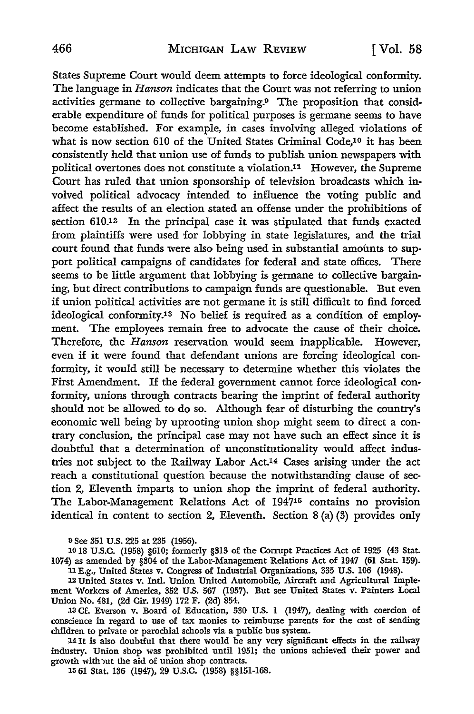States Supreme Court would deem attempts to force ideological conformity. The language in *Hanson* indicates that the Court was not referring to union activities germane to collective bargaining.9 The proposition that considerable expenditure of funds for political purposes is germane seems to have become established. For example, in cases involving alleged violations of what is now section 610 of the United States Criminal Code,10 it has been consistently held that union use of funds to publish union newspapers with political overtones does not constitute a violation.11 However, the Supreme Court has ruled that union sponsorship of television broadcasts which involved political advocacy intended to influence the voting public and affect the results of an election stated an offense under the prohibitions of section 610.12 In the principal case it was stipulated that funds exacted from plaintiffs were used for lobbying in state legislatures, and the trial court found that funds were also being used in substantial amounts to support political campaigns of candidates for federal and state offices. There seems to be little argument that lobbying is germane to collective bargaining, but direct contributions to campaign funds are questionable. But even if union political activities are not germane it is still difficult to find forced ideological conformity.13 No belief is required as a condition of employment. The employees remain free to advocate the cause of their choice. Therefore, the *Hanson* reservation would seem inapplicable. However, even if it were found that defendant unions are forcing ideological conformity, it would still be necessary to determine whether this violates the First Amendment. If the federal government cannot force ideological conformity, unions through contracts bearing the imprint of federal authority should not be allowed to do so. Although fear of disturbing the country's economic well being by uprooting union shop might seem to direct a contrary conclusion, the principal case may not have such an effect since it is doubtful that a determination of unconstitutionality would affect industries not subject to the Railway Labor Act.14 Cases arising under the act reach a constitutional question because the notwithstanding clause of section 2, Eleventh imparts to union shop the imprint of federal authority. The Labor-Management Relations Act of 194715 contains no provision identical in content to section 2, Eleventh. Section 8 (a) (3) provides only

<sup>9</sup>See 351 U.S. 225 at 235 (1956).

10 18 U.S.C. (1958) §610; formerly §313 of the Corrupt Practices Act of 1925 (43 Stat. 1074) as amended by §304 of the Labor-Management Relations Act of 1947 (61 Stat. 159). 11 E.g., United States v. Congress of Industrial Organizations, 335 U.S. 106 (1948).

12 United States v. Intl. Union United Automobile, Aircraft and Agricultural Implement Workers of America, 352 U.S. 567 (1957). But see United States v. Painters Local Union No. 481, (2d Cir. 1949) 172 F. (2d) 854 •

.13 Cf. Everson v. Board of Education, 330 U.S. I (1947), dealing with coercion of conscience in regard to use of tax monies to reimburse parents for the cost of sending children to private or parochial schools via a public bus system.

14 It is also doubtful that there would be any very significant effects in the railway industry. Union shop was prohibited until 1951; the unions achieved their power and growth with out the aid of union shop contracts.

15 61 Stat. 136 (1947), 29 U.S.C. (1958) §§151-168.